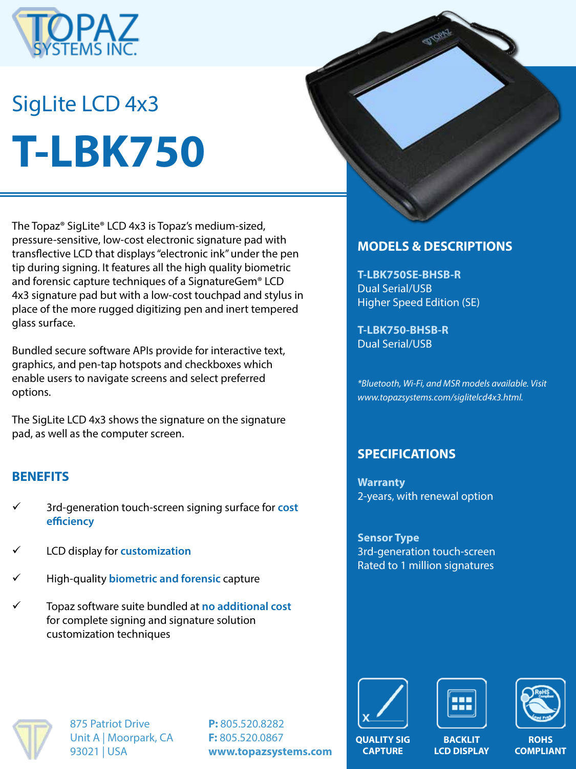

# SigLite LCD 4x3 **T-LBK750**

The Topaz® SigLite® LCD 4x3 is Topaz's medium-sized, pressure-sensitive, low-cost electronic signature pad with transflective LCD that displays "electronic ink" under the pen tip during signing. It features all the high quality biometric and forensic capture techniques of a SignatureGem® LCD 4x3 signature pad but with a low-cost touchpad and stylus in place of the more rugged digitizing pen and inert tempered glass surface.

Bundled secure software APIs provide for interactive text, graphics, and pen-tap hotspots and checkboxes which enable users to navigate screens and select preferred options.

The SigLite LCD 4x3 shows the signature on the signature pad, as well as the computer screen.

#### **BENEFITS**

- ü 3rd-generation touch-screen signing surface for **cost efficiency**
- ü LCD display for **customization**
- ü High-quality **biometric and forensic** capture
- ü Topaz software suite bundled at **no additional cost**  for complete signing and signature solution customization techniques



## **MODELS & DESCRIPTIONS**

**T-LBK750SE-BHSB-R** Dual Serial/USB Higher Speed Edition (SE)

**T-LBK750-BHSB-R** Dual Serial/USB

*\*Bluetooth, Wi-Fi, and MSR models available. Visit www.topazsystems.com/siglitelcd4x3.html.*

# **SPECIFICATIONS**

**Warranty** 2-years, with renewal option

**Sensor Type** 3rd-generation touch-screen Rated to 1 million signatures



875 Patriot Drive Unit A | Moorpark, CA 93021 | USA

**P:** 805.520.8282 **F:** 805.520.0867 **www.topazsystems.com**







**QUALITY SIG CAPTURE**

**BACKLIT LCD DISPLAY**

**ROHS COMPLIANT**